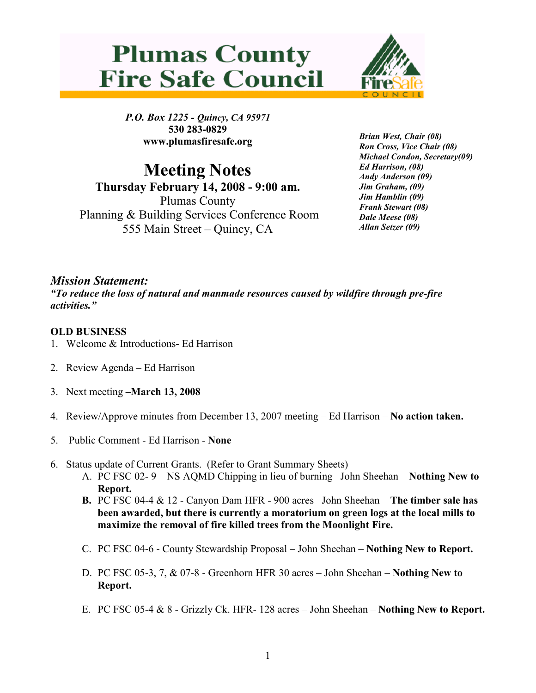## **Plumas County Fire Safe Council**



P.O. Box 1225 - Quincy, CA 95971 530 283-0829 www.plumasfiresafe.org

Meeting Notes Thursday February 14, 2008 - 9:00 am. Plumas County Planning & Building Services Conference Room 555 Main Street – Quincy, CA

Brian West, Chair (08) Ron Cross, Vice Chair (08) Michael Condon, Secretary(09) Ed Harrison, (08) Andy Anderson (09) Jim Graham, (09) Jim Hamblin (09) Frank Stewart (08) Dale Meese (08) Allan Setzer (09)

## Mission Statement:

"To reduce the loss of natural and manmade resources caused by wildfire through pre-fire activities."

## OLD BUSINESS

- 1. Welcome & Introductions- Ed Harrison
- 2. Review Agenda Ed Harrison
- 3. Next meeting –March 13, 2008
- 4. Review/Approve minutes from December 13, 2007 meeting Ed Harrison No action taken.
- 5. Public Comment Ed Harrison None
- 6. Status update of Current Grants. (Refer to Grant Summary Sheets)
	- A. PC FSC 02- 9 NS AQMD Chipping in lieu of burning –John Sheehan Nothing New to Report.
	- **B.** PC FSC 04-4  $\&$  12 Canyon Dam HFR 900 acres– John Sheehan **The timber sale has** been awarded, but there is currently a moratorium on green logs at the local mills to maximize the removal of fire killed trees from the Moonlight Fire.
	- C. PC FSC 04-6 County Stewardship Proposal John Sheehan Nothing New to Report.
	- D. PC FSC 05-3, 7, & 07-8 Greenhorn HFR 30 acres John Sheehan Nothing New to Report.
	- E. PC FSC 05-4 & 8 Grizzly Ck. HFR- 128 acres John Sheehan Nothing New to Report.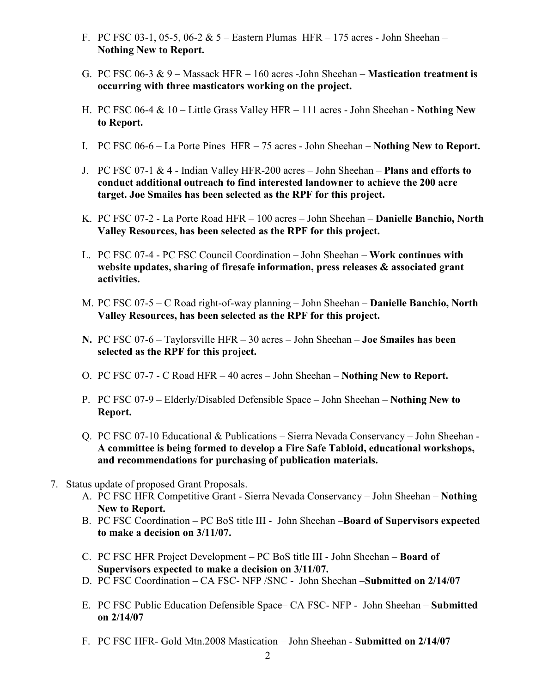- F. PC FSC 03-1, 05-5, 06-2 & 5 Eastern Plumas HFR 175 acres John Sheehan Nothing New to Report.
- G. PC FSC 06-3 & 9 Massack HFR 160 acres -John Sheehan **Mastication treatment is** occurring with three masticators working on the project.
- H. PC FSC 06-4 & 10 Little Grass Valley HFR 111 acres John Sheehan Nothing New to Report.
- I. PC FSC 06-6 La Porte Pines HFR 75 acres John Sheehan Nothing New to Report.
- J. PC FSC 07-1 & 4 Indian Valley HFR-200 acres John Sheehan Plans and efforts to conduct additional outreach to find interested landowner to achieve the 200 acre target. Joe Smailes has been selected as the RPF for this project.
- K. PC FSC 07-2 La Porte Road HFR 100 acres John Sheehan Danielle Banchio, North Valley Resources, has been selected as the RPF for this project.
- L. PC FSC 07-4 PC FSC Council Coordination John Sheehan Work continues with website updates, sharing of firesafe information, press releases & associated grant activities.
- M. PC FSC 07-5 C Road right-of-way planning John Sheehan Danielle Banchio, North Valley Resources, has been selected as the RPF for this project.
- N. PC FSC 07-6 Taylorsville HFR 30 acres John Sheehan Joe Smailes has been selected as the RPF for this project.
- O. PC FSC 07-7 C Road HFR 40 acres John Sheehan Nothing New to Report.
- P. PC FSC 07-9 Elderly/Disabled Defensible Space John Sheehan Nothing New to Report.
- Q. PC FSC 07-10 Educational & Publications Sierra Nevada Conservancy John Sheehan A committee is being formed to develop a Fire Safe Tabloid, educational workshops, and recommendations for purchasing of publication materials.
- 7. Status update of proposed Grant Proposals.
	- A. PC FSC HFR Competitive Grant Sierra Nevada Conservancy John Sheehan Nothing New to Report.
	- B. PC FSC Coordination PC BoS title III John Sheehan **Board of Supervisors expected** to make a decision on 3/11/07.
	- C. PC FSC HFR Project Development PC BoS title III John Sheehan Board of Supervisors expected to make a decision on 3/11/07.
	- D. PC FSC Coordination CA FSC- NFP /SNC John Sheehan –Submitted on 2/14/07
	- E. PC FSC Public Education Defensible Space– CA FSC- NFP John Sheehan Submitted on 2/14/07
	- F. PC FSC HFR- Gold Mtn.2008 Mastication John Sheehan Submitted on 2/14/07